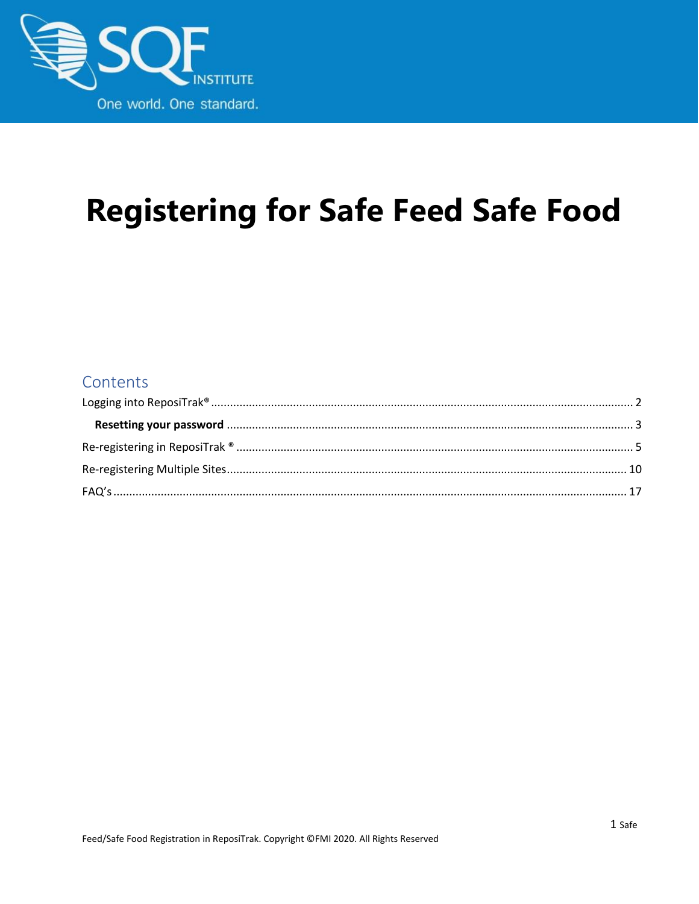

# **Registering for Safe Feed Safe Food**

#### Contents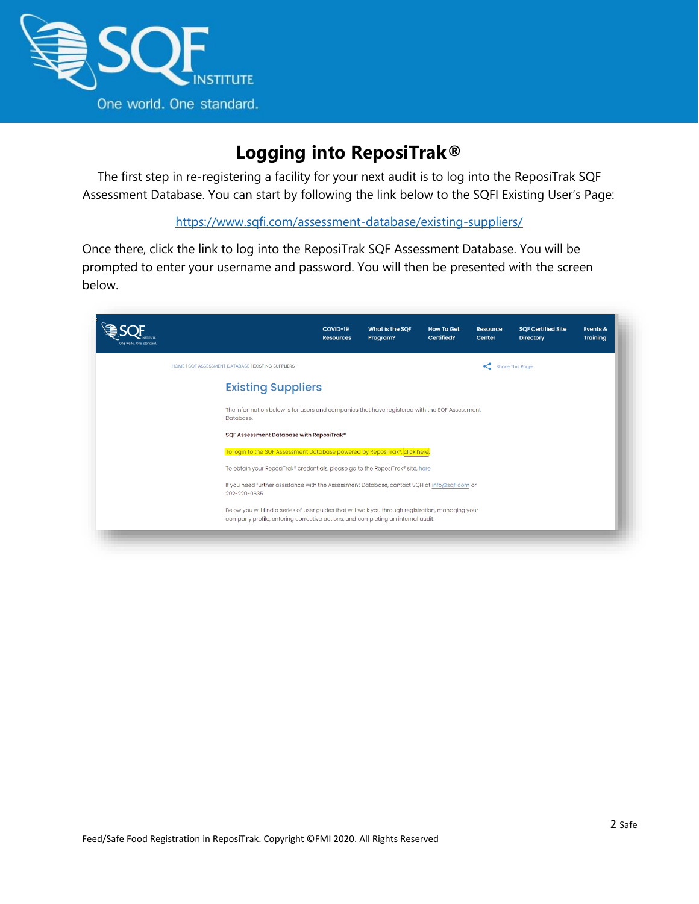

## **Logging into ReposiTrak®**

<span id="page-1-0"></span>The first step in re-registering a facility for your next audit is to log into the ReposiTrak SQF Assessment Database. You can start by following the link below to the SQFI Existing User's Page:

<https://www.sqfi.com/assessment-database/existing-suppliers/>

Once there, click the link to log into the ReposiTrak SQF Assessment Database. You will be prompted to enter your username and password. You will then be presented with the screen below.

| One world. One standard. |                                                                                                                                                                                       | COVID-19<br><b>Resources</b>                                                | What is the SQF<br>Program? | <b>How To Get</b><br>Certified? | Resource<br>Center | <b>SQF Certified Site</b><br><b>Directory</b> | Events &<br><b>Training</b> |  |
|--------------------------|---------------------------------------------------------------------------------------------------------------------------------------------------------------------------------------|-----------------------------------------------------------------------------|-----------------------------|---------------------------------|--------------------|-----------------------------------------------|-----------------------------|--|
|                          | HOME   SQF ASSESSMENT DATABASE   EXISTING SUPPLIERS                                                                                                                                   |                                                                             |                             |                                 | Share This Page    |                                               |                             |  |
|                          | <b>Existing Suppliers</b>                                                                                                                                                             |                                                                             |                             |                                 |                    |                                               |                             |  |
|                          | The information below is for users and companies that have registered with the SQF Assessment<br>Database.                                                                            |                                                                             |                             |                                 |                    |                                               |                             |  |
|                          |                                                                                                                                                                                       | SQF Assessment Database with ReposiTrak®                                    |                             |                                 |                    |                                               |                             |  |
|                          |                                                                                                                                                                                       | To login to the SQF Assessment Database powered by ReposiTrak®, click here. |                             |                                 |                    |                                               |                             |  |
|                          | To obtain your ReposiTrak® credentials, please go to the ReposiTrak® site, here.                                                                                                      |                                                                             |                             |                                 |                    |                                               |                             |  |
|                          | If you need further assistance with the Assessment Database, contact SQFI at info@sqfi.com or<br>202-220-0635.                                                                        |                                                                             |                             |                                 |                    |                                               |                             |  |
|                          | Below you will find a series of user guides that will walk you through registration, managing your<br>company profile, entering corrective actions, and completing an internal audit. |                                                                             |                             |                                 |                    |                                               |                             |  |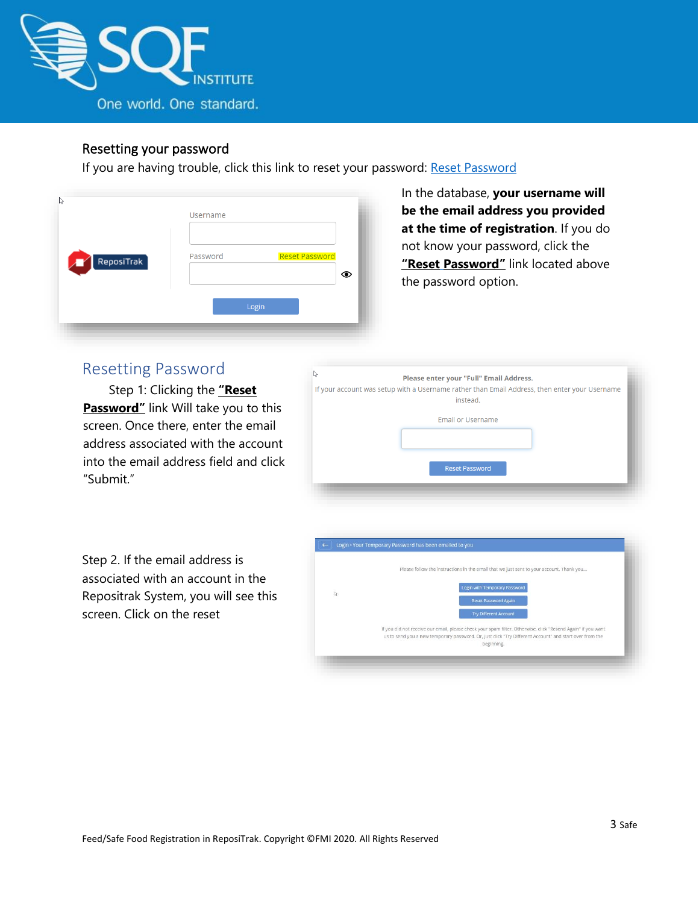

#### Resetting your password

If you are having trouble, click this link to reset your password: [Reset Password](https://www.ac.parkcitygroup.com/application/vwavecgi/private/vialink.cgi/login/app)

| ß                               |                                   |
|---------------------------------|-----------------------------------|
|                                 | Username                          |
|                                 |                                   |
| $\sqrt{\phantom{a}}$ ReposiTrak | <b>Reset Password</b><br>Password |
|                                 | ⊙                                 |
|                                 | Login                             |
|                                 |                                   |

<span id="page-2-0"></span>In the database, **your username will be the email address you provided at the time of registration**. If you do not know your password, click the **"Reset [Password](https://www.ac.parkcitygroup.com/application/vwavecgi/private/vialink.cgi/login/app)"** link located above the password option.

#### Resetting Password

Step 1: Clicking the **"[Reset](https://www.ac.parkcitygroup.com/application/vwavecgi/private/vialink.cgi/login/app) [Password](https://www.ac.parkcitygroup.com/application/vwavecgi/private/vialink.cgi/login/app)"** link Will take you to this screen. Once there, enter the email address associated with the account into the email address field and click "Submit."

| ↳ | Please enter your "Full" Email Address.                                                                   |
|---|-----------------------------------------------------------------------------------------------------------|
|   | If your account was setup with a Username rather than Email Address, then enter your Username<br>instead. |
|   | <b>Email or Username</b>                                                                                  |
|   | <b>Reset Password</b>                                                                                     |

Step 2. If the email address is associated with an account in the Repositrak System, you will see this screen. Click on the reset

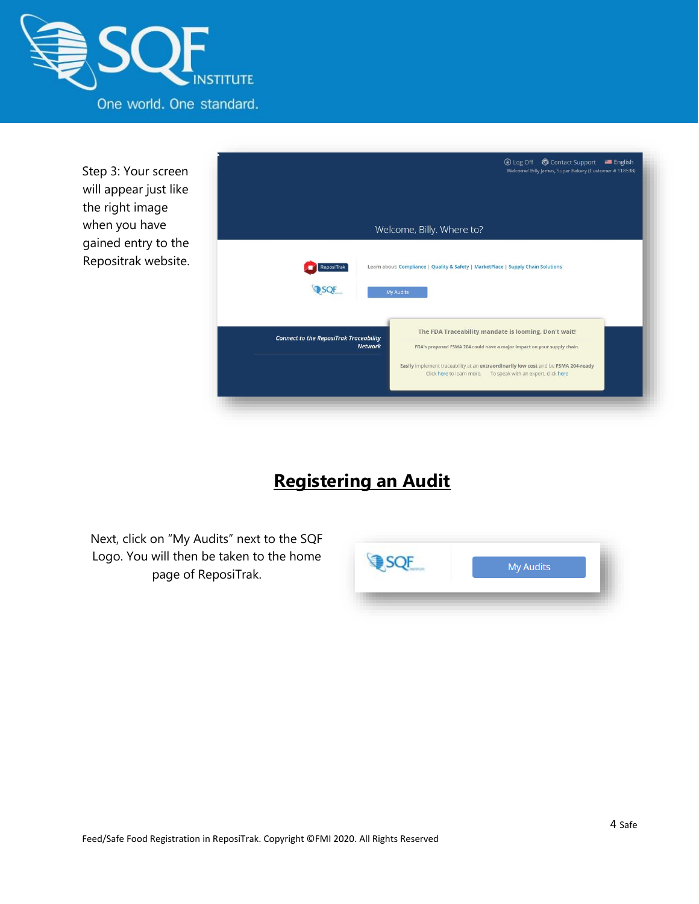

Step 3: Your screen will appear just like the right image when you have gained entry to the Repositrak website.



# **Registering an Audit**

Next, click on "My Audits" next to the SQF Logo. You will then be taken to the home page of ReposiTrak.

| <b>My Audits</b> |
|------------------|
|                  |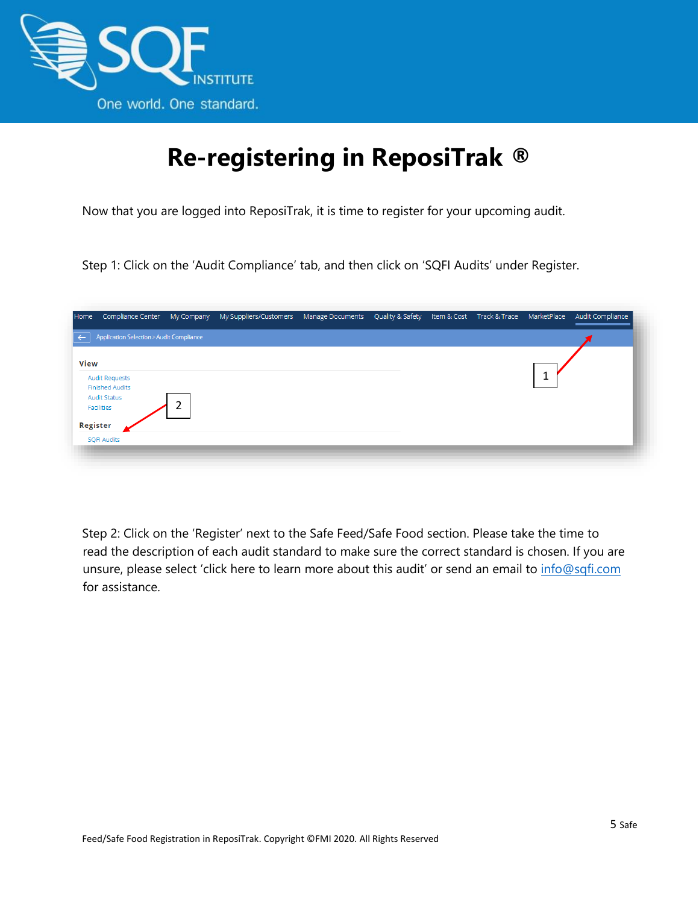

# **Re-registering in ReposiTrak ®**

<span id="page-4-0"></span>Now that you are logged into ReposiTrak, it is time to register for your upcoming audit.

Step 1: Click on the 'Audit Compliance' tab, and then click on 'SQFI Audits' under Register.

| Home           | Compliance Center                               | My Company | My Suppliers/Customers | Manage Documents Quality & Safety Item & Cost Track & Trace MarketPlace |  |  | Audit Compliance |
|----------------|-------------------------------------------------|------------|------------------------|-------------------------------------------------------------------------|--|--|------------------|
| $\leftarrow$ 1 | Application Selection > Audit Compliance        |            |                        |                                                                         |  |  |                  |
| View           |                                                 |            |                        |                                                                         |  |  |                  |
|                | <b>Audit Requests</b><br><b>Finished Audits</b> |            |                        |                                                                         |  |  |                  |
|                | <b>Audit Status</b><br>Facilities               | ኀ<br>ے     |                        |                                                                         |  |  |                  |
| Register       |                                                 |            |                        |                                                                         |  |  |                  |
|                | <b>SQFI Audits</b>                              |            |                        |                                                                         |  |  |                  |
|                |                                                 |            |                        |                                                                         |  |  |                  |

Step 2: Click on the 'Register' next to the Safe Feed/Safe Food section. Please take the time to read the description of each audit standard to make sure the correct standard is chosen. If you are unsure, please select 'click here to learn more about this audit' or send an email to info@sqfi.com for assistance.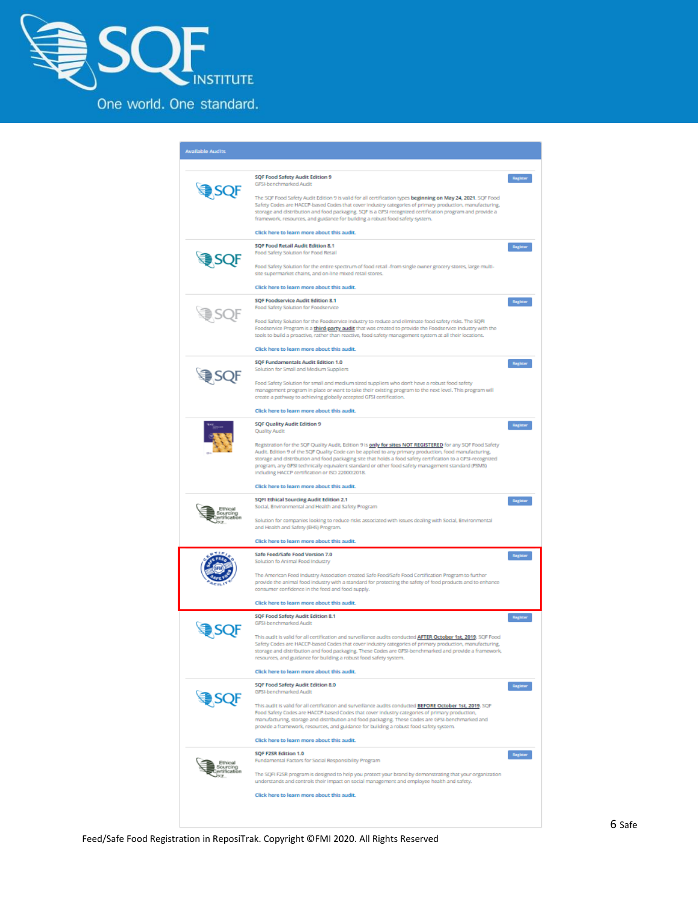

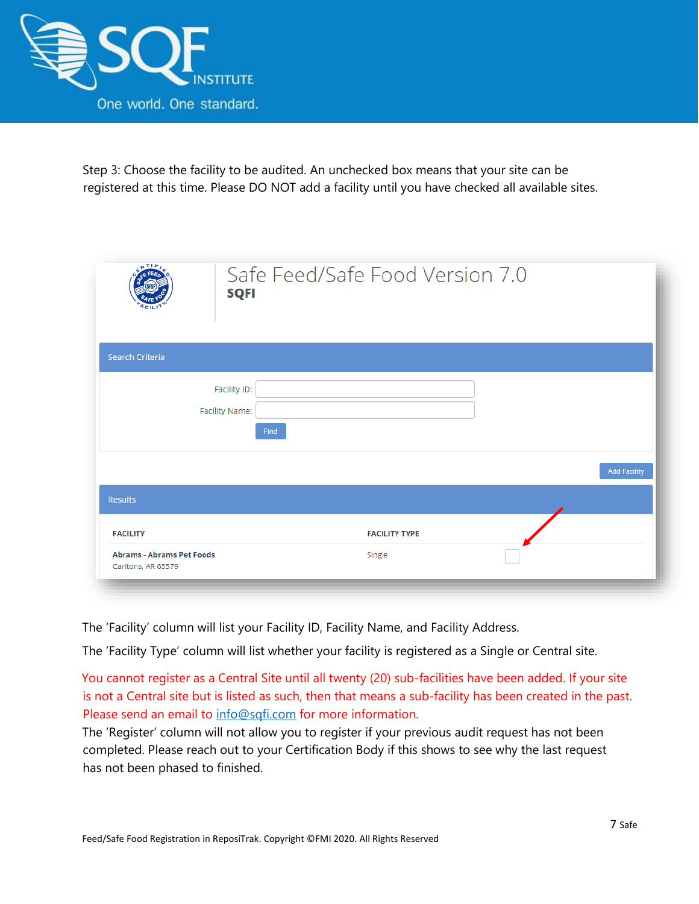

Step 3: Choose the facility to be audited. An unchecked box means that your site can be registered at this time. Please DO NOT add a facility until you have checked all available sites.

| ATIR<br><b>SQFI</b>                                                       | Safe Feed/Safe Food Version 7.0 |                     |
|---------------------------------------------------------------------------|---------------------------------|---------------------|
| Search Criteria                                                           |                                 |                     |
| Facility ID:<br>Facility Name:<br>Find                                    |                                 |                     |
|                                                                           |                                 | <b>Add Facility</b> |
| <b>Results</b>                                                            |                                 |                     |
| <b>FACILITY</b><br><b>Abrams - Abrams Pet Foods</b><br>Carltons, AR 65579 | <b>FACILITY TYPE</b><br>Single  |                     |

The 'Facility' column will list your Facility ID, Facility Name, and Facility Address.

The 'Facility Type' column will list whether your facility is registered as a Single or Central site.

You cannot register as a Central Site until all twenty (20) sub-facilities have been added. If your site is not a Central site but is listed as such, then that means a sub-facility has been created in the past. Please send an email to info@sqfi.com for more information.

The 'Register' column will not allow you to register if your previous audit request has not been completed. Please reach out to your Certification Body if this shows to see why the last request has not been phased to finished.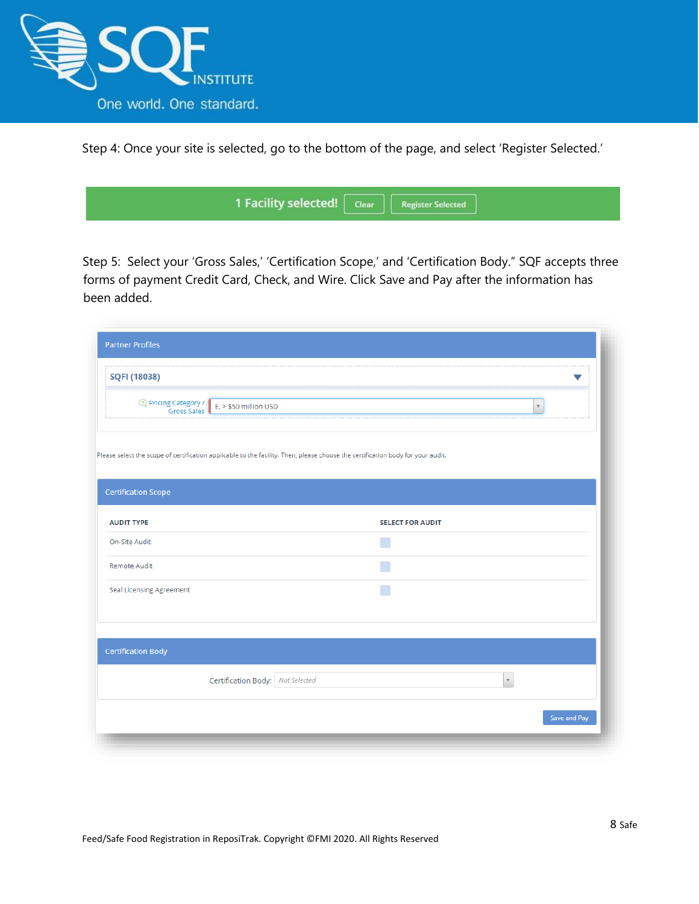

Step 4: Once your site is selected, go to the bottom of the page, and select 'Register Selected.'

| 1 Facility selected! Clear   Register Selected |  |
|------------------------------------------------|--|
|                                                |  |

Step 5: Select your 'Gross Sales,' 'Certification Scope,' and 'Certification Body." SQF accepts three forms of payment Credit Card, Check, and Wire. Click Save and Pay after the information has been added.

| <b>Partner Profiles</b>         |                                                                      |                                                                                                                                 |                    |                         |
|---------------------------------|----------------------------------------------------------------------|---------------------------------------------------------------------------------------------------------------------------------|--------------------|-------------------------|
| <b>SQFI (18038)</b>             |                                                                      |                                                                                                                                 |                    |                         |
|                                 | <sup>2</sup> Pricing Category / E. > \$50 million USD<br>Gross Sales |                                                                                                                                 |                    | $\overline{\mathbf{v}}$ |
|                                 |                                                                      | Please select the scope of certification applicable to the facility. Then, please choose the certification body for your audit. |                    |                         |
| <b>Certification Scope</b>      |                                                                      |                                                                                                                                 |                    |                         |
| <b>AUDIT TYPE</b>               |                                                                      | <b>SELECT FOR AUDIT</b>                                                                                                         |                    |                         |
| On-Site Audit                   |                                                                      |                                                                                                                                 |                    |                         |
| Remote Audit                    |                                                                      |                                                                                                                                 |                    |                         |
| <b>Seal Licensing Agreement</b> |                                                                      |                                                                                                                                 |                    |                         |
|                                 |                                                                      |                                                                                                                                 |                    |                         |
| <b>Certification Body</b>       |                                                                      |                                                                                                                                 |                    |                         |
|                                 | Certification Body:   Not Selected                                   |                                                                                                                                 | $\bar{\mathbf{v}}$ |                         |
|                                 |                                                                      |                                                                                                                                 |                    | Save and Pay            |
|                                 |                                                                      |                                                                                                                                 |                    |                         |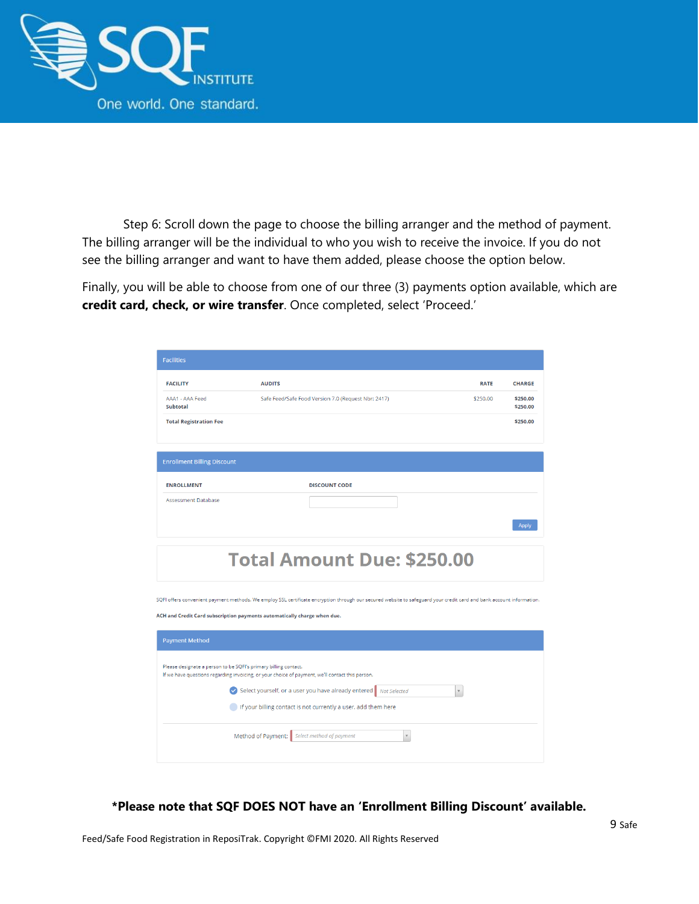

Step 6: Scroll down the page to choose the billing arranger and the method of payment. The billing arranger will be the individual to who you wish to receive the invoice. If you do not see the billing arranger and want to have them added, please choose the option below.

Finally, you will be able to choose from one of our three (3) payments option available, which are **credit card, check, or wire transfer**. Once completed, select 'Proceed.'

| <b>Facilities</b>                                               |                                                                                                                                                                                                                                                  |             |                      |  |  |  |  |
|-----------------------------------------------------------------|--------------------------------------------------------------------------------------------------------------------------------------------------------------------------------------------------------------------------------------------------|-------------|----------------------|--|--|--|--|
| <b>FACILITY</b>                                                 | <b>AUDITS</b>                                                                                                                                                                                                                                    | <b>RATE</b> | <b>CHARGE</b>        |  |  |  |  |
| AAA1 - AAA Feed<br><b>Subtotal</b>                              | Safe Feed/Safe Food Version 7.0 (Request Nbr: 2417)                                                                                                                                                                                              | \$250,00    | \$250.00<br>\$250.00 |  |  |  |  |
| <b>Total Registration Fee</b>                                   |                                                                                                                                                                                                                                                  |             | \$250.00             |  |  |  |  |
|                                                                 |                                                                                                                                                                                                                                                  |             |                      |  |  |  |  |
| <b>Enrollment Billing Discount</b>                              |                                                                                                                                                                                                                                                  |             |                      |  |  |  |  |
| <b>ENROLLMENT</b>                                               | <b>DISCOUNT CODE</b>                                                                                                                                                                                                                             |             |                      |  |  |  |  |
| <b>Assessment Database</b>                                      |                                                                                                                                                                                                                                                  |             |                      |  |  |  |  |
|                                                                 |                                                                                                                                                                                                                                                  |             | <b>Apply</b>         |  |  |  |  |
|                                                                 |                                                                                                                                                                                                                                                  |             |                      |  |  |  |  |
|                                                                 | <b>Total Amount Due: \$250.00</b>                                                                                                                                                                                                                |             |                      |  |  |  |  |
|                                                                 | SQFI offers convenient payment methods. We employ SSL certificate encryption through our secured website to safeguard your credit card and bank account information.<br>ACH and Credit Card subscription payments automatically charge when due. |             |                      |  |  |  |  |
| <b>Payment Method</b>                                           |                                                                                                                                                                                                                                                  |             |                      |  |  |  |  |
| Please designate a person to be SQFI's primary billing contact. | If we have questions regarding invoicing, or your choice of payment, we'll contact this person.                                                                                                                                                  |             |                      |  |  |  |  |
|                                                                 | Select yourself, or a user you have already entered Mot Selected<br>$\mathbf{v}$                                                                                                                                                                 |             |                      |  |  |  |  |
|                                                                 | If your billing contact is not currently a user, add them here                                                                                                                                                                                   |             |                      |  |  |  |  |
|                                                                 | Method of Payment: Select method of payment<br>$\overline{\mathbf{v}}$                                                                                                                                                                           |             |                      |  |  |  |  |
|                                                                 |                                                                                                                                                                                                                                                  |             |                      |  |  |  |  |

**\*Please note that SQF DOES NOT have an 'Enrollment Billing Discount' available.**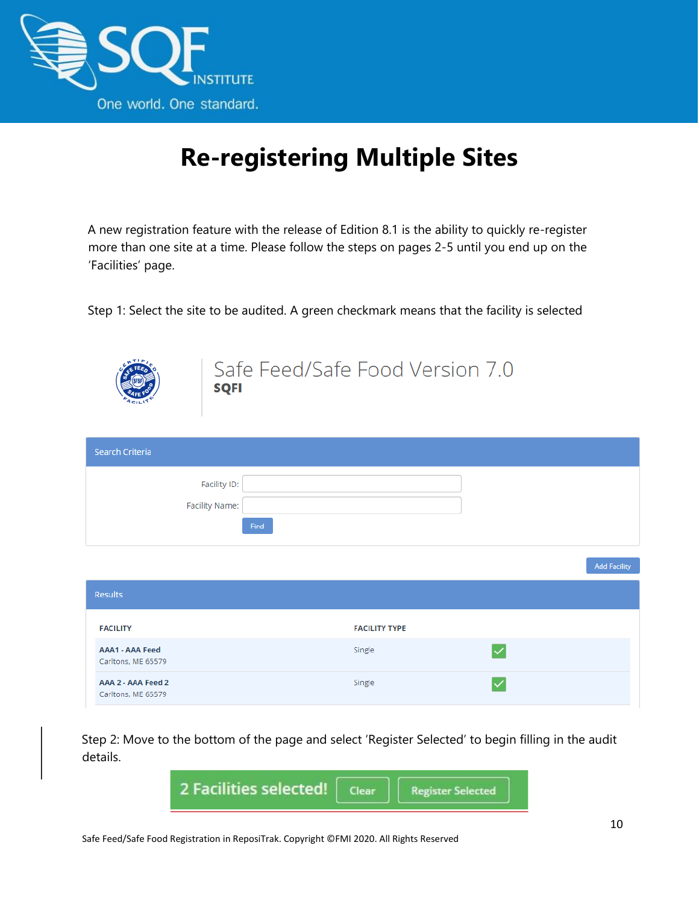

# **Re-registering Multiple Sites**

<span id="page-9-0"></span>A new registration feature with the release of Edition 8.1 is the ability to quickly re-register more than one site at a time. Please follow the steps on pages 2-5 until you end up on the 'Facilities' page.

Step 1: Select the site to be audited. A green checkmark means that the facility is selected



#### Safe Feed/Safe Food Version 7.0 **SOFI**

| <b>Search Criteria</b> |                                |
|------------------------|--------------------------------|
|                        | Facility ID:<br>Facility Name: |
|                        | Find                           |

| <b>Results</b>                               |                      |  |
|----------------------------------------------|----------------------|--|
| <b>FACILITY</b>                              | <b>FACILITY TYPE</b> |  |
| <b>AAA1 - AAA Feed</b><br>Carltons, ME 65579 | Single               |  |
| AAA 2 - AAA Feed 2<br>Carltons, ME 65579     | Single               |  |

Step 2: Move to the bottom of the page and select 'Register Selected' to begin filling in the audit details.



**Add Facility**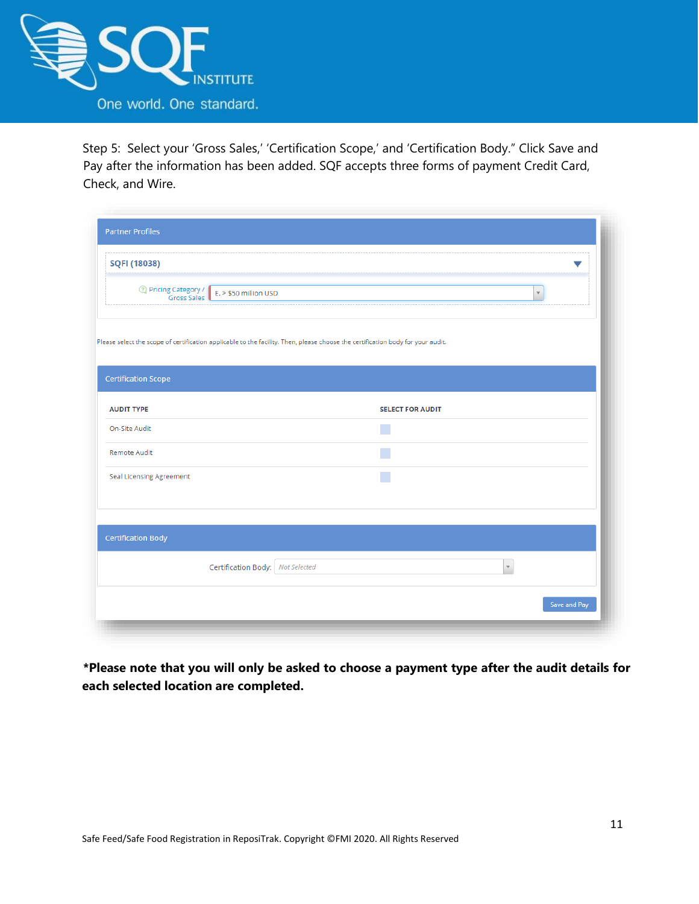

Step 5: Select your 'Gross Sales,' 'Certification Scope,' and 'Certification Body." Click Save and Pay after the information has been added. SQF accepts three forms of payment Credit Card, Check, and Wire.

| SQFI (18038)                    |                                                                                                                                 |                         |                         |  |
|---------------------------------|---------------------------------------------------------------------------------------------------------------------------------|-------------------------|-------------------------|--|
|                                 |                                                                                                                                 |                         |                         |  |
| 2 Pricing Category /            | E. > \$50 million USD<br><b>Gross Sales</b>                                                                                     |                         | $\overline{\mathbf{v}}$ |  |
|                                 | Please select the scope of certification applicable to the facility. Then, please choose the certification body for your audit. |                         |                         |  |
|                                 |                                                                                                                                 |                         |                         |  |
| <b>Certification Scope</b>      |                                                                                                                                 |                         |                         |  |
| <b>AUDIT TYPE</b>               |                                                                                                                                 | <b>SELECT FOR AUDIT</b> |                         |  |
| On-Site Audit                   |                                                                                                                                 |                         |                         |  |
| Remote Audit                    |                                                                                                                                 |                         |                         |  |
| <b>Seal Licensing Agreement</b> |                                                                                                                                 |                         |                         |  |
|                                 |                                                                                                                                 |                         |                         |  |
|                                 |                                                                                                                                 |                         |                         |  |
|                                 |                                                                                                                                 |                         |                         |  |
| <b>Certification Body</b>       |                                                                                                                                 |                         |                         |  |
|                                 |                                                                                                                                 |                         | $\mathbf{v}$            |  |
|                                 | Certification Body:   Not Selected                                                                                              |                         |                         |  |

**\*Please note that you will only be asked to choose a payment type after the audit details for each selected location are completed.**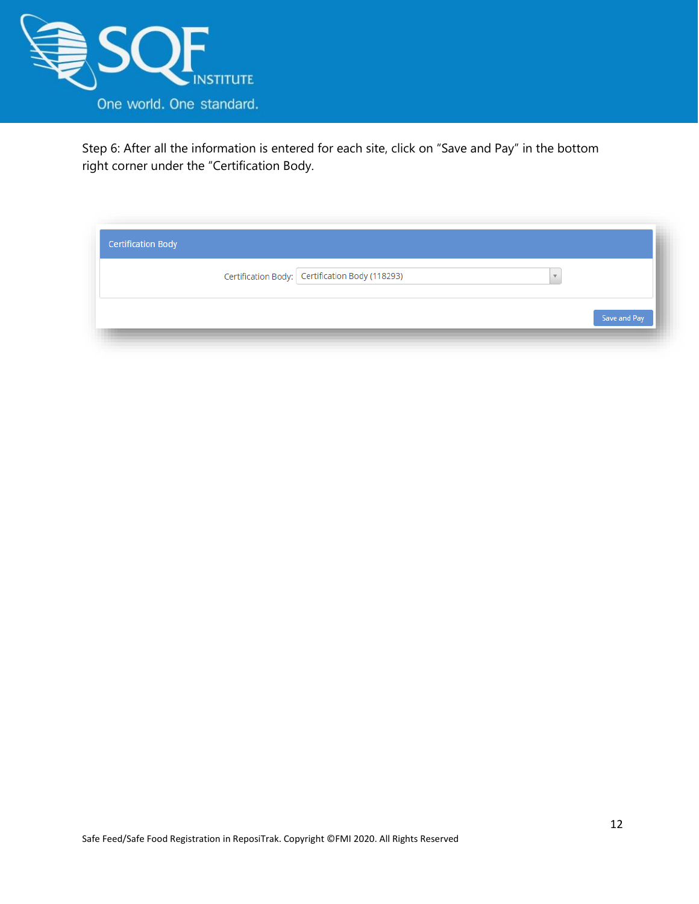

Step 6: After all the information is entered for each site, click on "Save and Pay" in the bottom right corner under the "Certification Body.

| <b>Certification Body</b> |                                                 |              |
|---------------------------|-------------------------------------------------|--------------|
|                           | Certification Body: Certification Body (118293) |              |
|                           |                                                 | Save and Pay |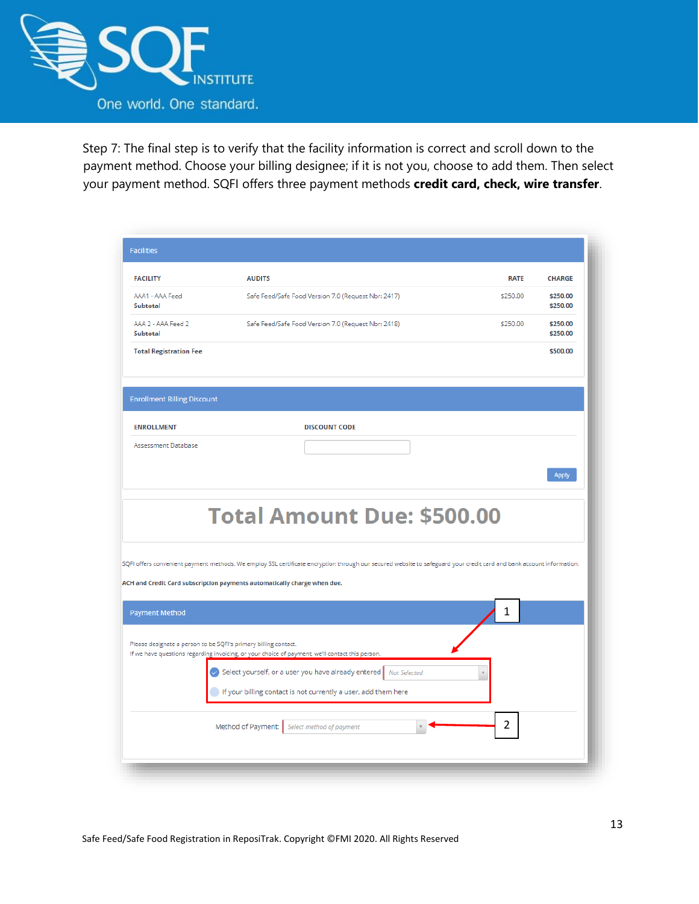

Step 7: The final step is to verify that the facility information is correct and scroll down to the payment method. Choose your billing designee; if it is not you, choose to add them. Then select your payment method. SQFI offers three payment methods **credit card, check, wire transfer**.

| <b>FACILITY</b>                       | <b>AUDITS</b>                                                                                                                                                                                                                                    | <b>RATE</b> | <b>CHARGE</b>        |
|---------------------------------------|--------------------------------------------------------------------------------------------------------------------------------------------------------------------------------------------------------------------------------------------------|-------------|----------------------|
| AAA1 - AAA Feed<br><b>Subtotal</b>    | Safe Feed/Safe Food Version 7.0 (Request Nbr: 2417)                                                                                                                                                                                              | \$250.00    | \$250.00<br>\$250.00 |
| AAA 2 - AAA Feed 2<br><b>Subtotal</b> | Safe Feed/Safe Food Version 7.0 (Request Nbr: 2418)                                                                                                                                                                                              | \$250.00    | \$250.00<br>\$250.00 |
| <b>Total Registration Fee</b>         |                                                                                                                                                                                                                                                  |             | \$500.00             |
| <b>Enrollment Billing Discount</b>    |                                                                                                                                                                                                                                                  |             |                      |
| <b>ENROLLMENT</b>                     | <b>DISCOUNT CODE</b>                                                                                                                                                                                                                             |             |                      |
| Assessment Database                   |                                                                                                                                                                                                                                                  |             |                      |
|                                       |                                                                                                                                                                                                                                                  |             |                      |
|                                       | <b>Total Amount Due: \$500.00</b>                                                                                                                                                                                                                |             | <b>Apply</b>         |
|                                       | SQFI offers convenient payment methods. We employ SSL certificate encryption through our secured website to safeguard your credit card and bank account information.<br>ACH and Credit Card subscription payments automatically charge when due. |             |                      |
| <b>Payment Method</b>                 |                                                                                                                                                                                                                                                  | 1           |                      |
|                                       | Please designate a person to be SQFI's primary billing contact.<br>If we have questions regarding invoicing, or your choice of payment, we'll contact this person.                                                                               |             |                      |
|                                       | Select yourself, or a user you have already entered Mot Selected<br>If your billing contact is not currently a user, add them here                                                                                                               |             |                      |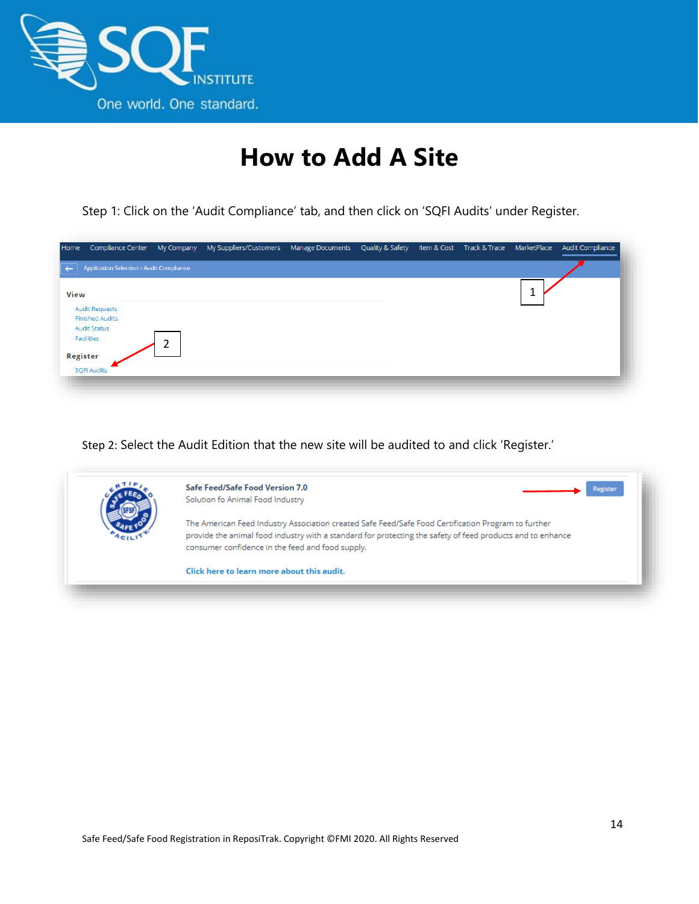

# **How to Add A Site**

Step 1: Click on the 'Audit Compliance' tab, and then click on 'SQFI Audits' under Register.

| Application Selection > Audit Compliance<br>$\leftarrow$<br>View<br><b>Audit Requests</b><br><b>Finished Audits</b><br><b>Audit Status</b><br>Facilities<br>ำ<br>ے<br>Register<br><b>SQFI Audits</b> | Audit Compliance |
|------------------------------------------------------------------------------------------------------------------------------------------------------------------------------------------------------|------------------|
|                                                                                                                                                                                                      |                  |
|                                                                                                                                                                                                      |                  |
|                                                                                                                                                                                                      |                  |
|                                                                                                                                                                                                      |                  |
|                                                                                                                                                                                                      |                  |
|                                                                                                                                                                                                      |                  |
|                                                                                                                                                                                                      |                  |

Step 2: Select the Audit Edition that the new site will be audited to and click 'Register.'

| Safe Feed/Safe Food Version 7.0<br>Reeister<br>Solution fo Animal Food Industry                            |
|------------------------------------------------------------------------------------------------------------|
|                                                                                                            |
| The American Feed Industry Association created Safe Feed/Safe Food Certification Program to further        |
| provide the animal food industry with a standard for protecting the safety of feed products and to enhance |
| consumer confidence in the feed and food supply.                                                           |
| Click here to learn more about this audit.                                                                 |
|                                                                                                            |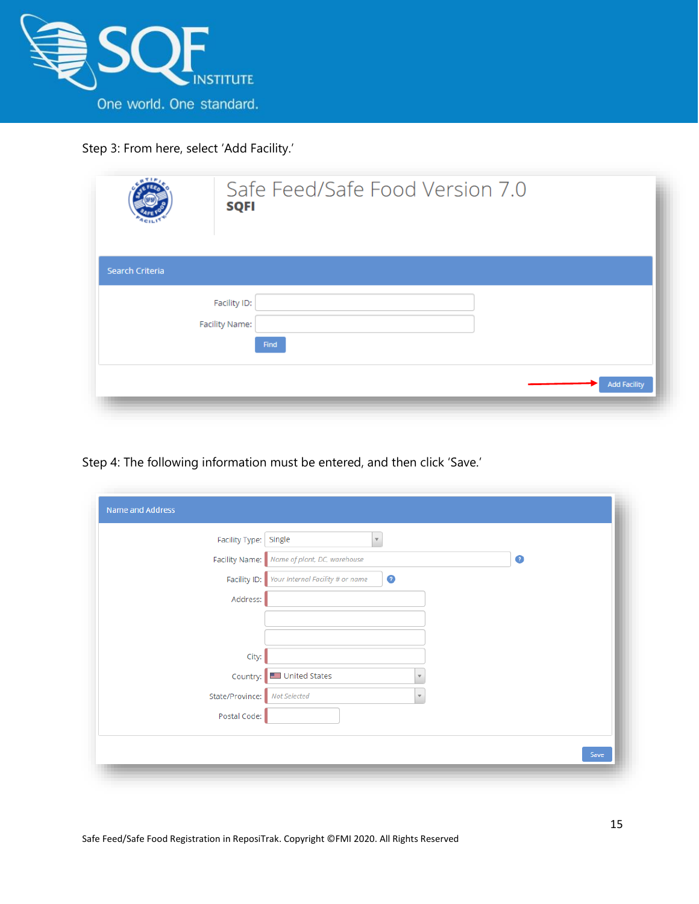

Step 3: From here, select 'Add Facility.'

| Search Criteria |                        |  |  |                     |
|-----------------|------------------------|--|--|---------------------|
|                 | Facility ID:           |  |  |                     |
|                 | Facility Name:<br>Find |  |  | <b>Add Facility</b> |

Step 4: The following information must be entered, and then click 'Save.'

| Facility Type:  | Single<br>$\overline{\mathbf{v}}$             |              |           |
|-----------------|-----------------------------------------------|--------------|-----------|
|                 | Facility Name: Name of plant, DC, warehouse   |              | $\bullet$ |
| Facility ID:    | $\bullet$<br>Your Internal Facility # or name |              |           |
| Address:        |                                               |              |           |
|                 |                                               |              |           |
|                 |                                               |              |           |
| City:           |                                               |              |           |
| Country:        | United States                                 |              |           |
| State/Province: | Not Selected                                  | $\mathbf{v}$ |           |
| Postal Code:    |                                               |              |           |
|                 |                                               |              |           |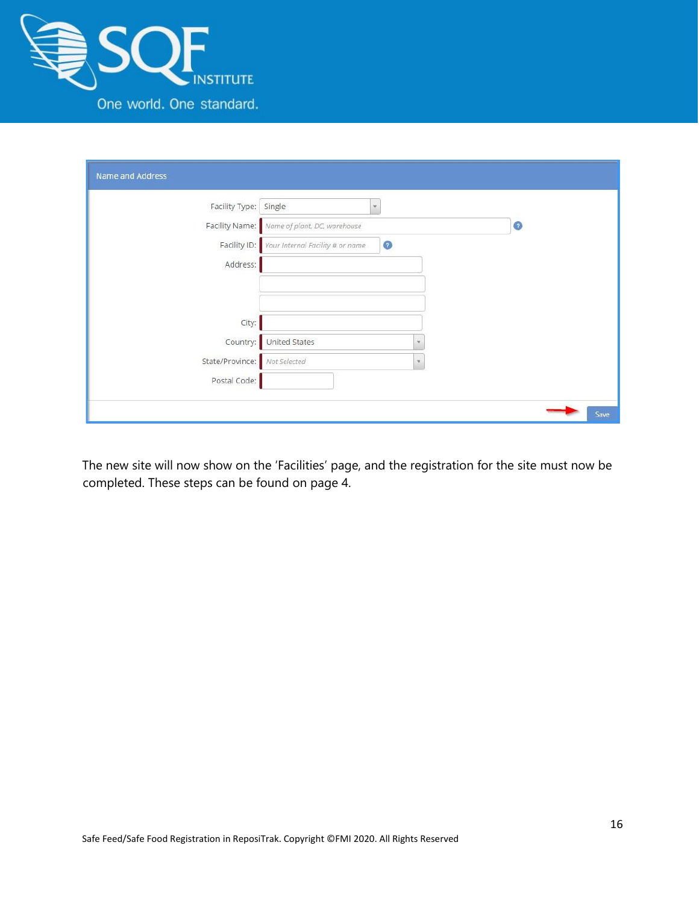

| Name and Address |                                             |           |
|------------------|---------------------------------------------|-----------|
| Facility Type:   | Single<br>$\forall$                         |           |
| Facility Name:   | Name of plant, DC, warehouse                | $\bullet$ |
| Facility ID:     | $\odot$<br>Your Internal Facility # or name |           |
| Address:         |                                             |           |
| City:            |                                             |           |
| Country:         | United States                               |           |
| State/Province:  | Not Selected<br>$\mathbf{v}$                |           |
| Postal Code:     |                                             |           |
|                  |                                             | Save      |

The new site will now show on the 'Facilities' page, and the registration for the site must now be completed. These steps can be found on page 4.